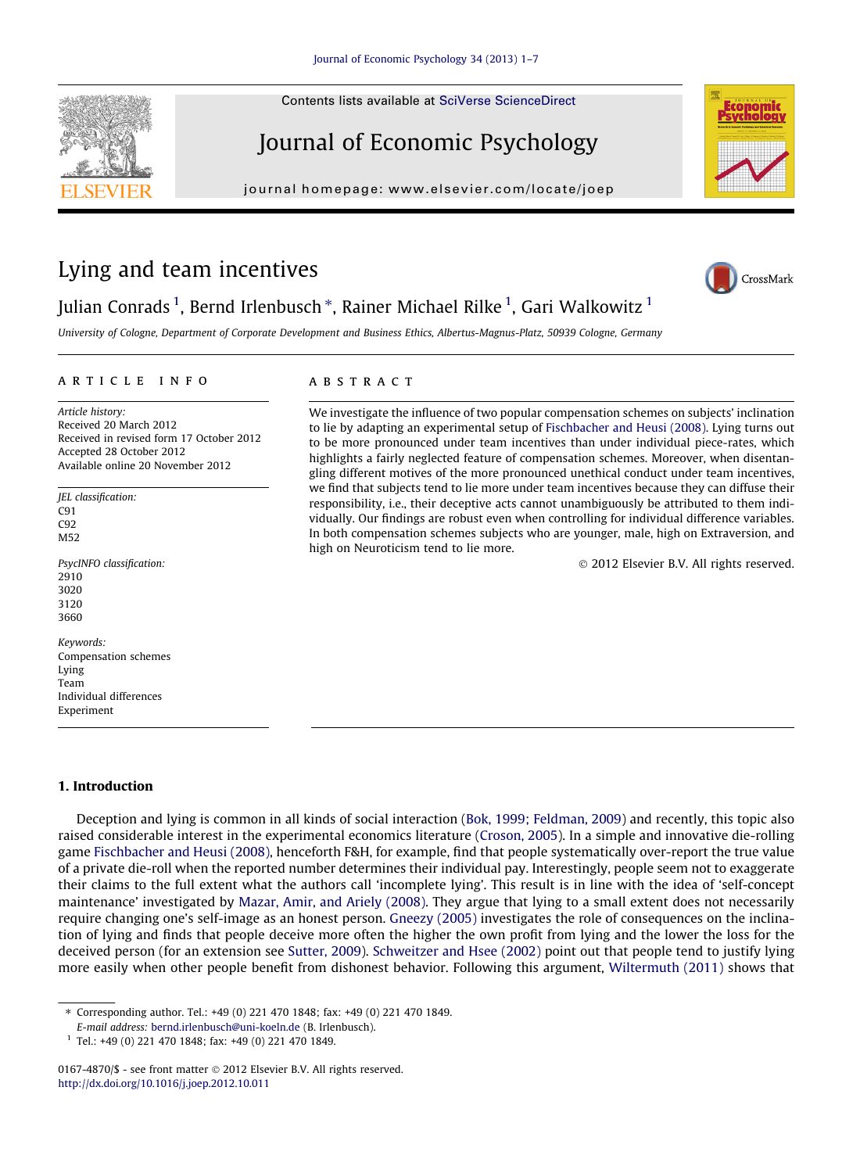Contents lists available at [SciVerse ScienceDirect](http://www.sciencedirect.com/science/journal/01674870)

# Journal of Economic Psychology

journal homepage: [www.elsevier.com/locate/joep](http://www.elsevier.com/locate/joep)

# Lying and team incentives

### Julian Conrads <sup>1</sup>, Bernd Irlenbusch \*, Rainer Michael Rilke <sup>1</sup>, Gari Walkowitz <sup>1</sup>

University of Cologne, Department of Corporate Development and Business Ethics, Albertus-Magnus-Platz, 50939 Cologne, Germany

#### article info

Article history: Received 20 March 2012 Received in revised form 17 October 2012 Accepted 28 October 2012 Available online 20 November 2012

JEL classification: C91 C92 M52

PsycINFO classification: 2910 3020 3120 3660

Keywords: Compensation schemes Lying Team Individual differences Experiment

#### 1. Introduction

Deception and lying is common in all kinds of social interaction [\(Bok, 1999; Feldman, 2009\)](#page--1-0) and recently, this topic also raised considerable interest in the experimental economics literature ([Croson, 2005](#page--1-0)). In a simple and innovative die-rolling game [Fischbacher and Heusi \(2008\),](#page--1-0) henceforth F&H, for example, find that people systematically over-report the true value of a private die-roll when the reported number determines their individual pay. Interestingly, people seem not to exaggerate their claims to the full extent what the authors call 'incomplete lying'. This result is in line with the idea of 'self-concept maintenance' investigated by [Mazar, Amir, and Ariely \(2008\)](#page--1-0). They argue that lying to a small extent does not necessarily require changing one's self-image as an honest person. [Gneezy \(2005\)](#page--1-0) investigates the role of consequences on the inclination of lying and finds that people deceive more often the higher the own profit from lying and the lower the loss for the deceived person (for an extension see [Sutter, 2009\)](#page--1-0). [Schweitzer and Hsee \(2002\)](#page--1-0) point out that people tend to justify lying more easily when other people benefit from dishonest behavior. Following this argument, [Wiltermuth \(2011\)](#page--1-0) shows that

⇑ Corresponding author. Tel.: +49 (0) 221 470 1848; fax: +49 (0) 221 470 1849.

E-mail address: [bernd.irlenbusch@uni-koeln.de](mailto:bernd.irlenbusch@uni-koeln.de) (B. Irlenbusch).

<sup>1</sup> Tel.: +49 (0) 221 470 1848; fax: +49 (0) 221 470 1849.

0167-4870/\$ - see front matter © 2012 Elsevier B.V. All rights reserved. <http://dx.doi.org/10.1016/j.joep.2012.10.011>

### **ABSTRACT**

We investigate the influence of two popular compensation schemes on subjects' inclination to lie by adapting an experimental setup of [Fischbacher and Heusi \(2008\).](#page--1-0) Lying turns out to be more pronounced under team incentives than under individual piece-rates, which highlights a fairly neglected feature of compensation schemes. Moreover, when disentangling different motives of the more pronounced unethical conduct under team incentives, we find that subjects tend to lie more under team incentives because they can diffuse their responsibility, i.e., their deceptive acts cannot unambiguously be attributed to them individually. Our findings are robust even when controlling for individual difference variables. In both compensation schemes subjects who are younger, male, high on Extraversion, and high on Neuroticism tend to lie more.

- 2012 Elsevier B.V. All rights reserved.





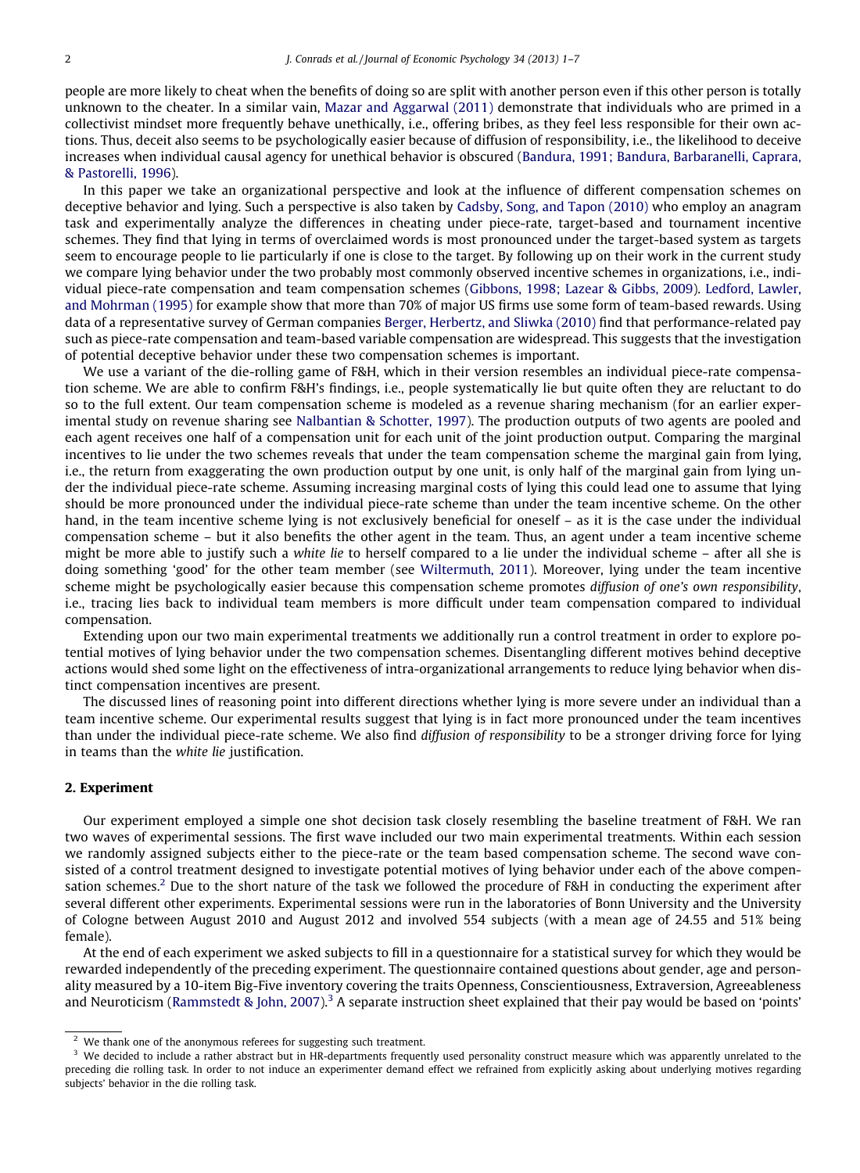people are more likely to cheat when the benefits of doing so are split with another person even if this other person is totally unknown to the cheater. In a similar vain, [Mazar and Aggarwal \(2011\)](#page--1-0) demonstrate that individuals who are primed in a collectivist mindset more frequently behave unethically, i.e., offering bribes, as they feel less responsible for their own actions. Thus, deceit also seems to be psychologically easier because of diffusion of responsibility, i.e., the likelihood to deceive increases when individual causal agency for unethical behavior is obscured ([Bandura, 1991; Bandura, Barbaranelli, Caprara,](#page--1-0) [& Pastorelli, 1996](#page--1-0)).

In this paper we take an organizational perspective and look at the influence of different compensation schemes on deceptive behavior and lying. Such a perspective is also taken by [Cadsby, Song, and Tapon \(2010\)](#page--1-0) who employ an anagram task and experimentally analyze the differences in cheating under piece-rate, target-based and tournament incentive schemes. They find that lying in terms of overclaimed words is most pronounced under the target-based system as targets seem to encourage people to lie particularly if one is close to the target. By following up on their work in the current study we compare lying behavior under the two probably most commonly observed incentive schemes in organizations, i.e., individual piece-rate compensation and team compensation schemes [\(Gibbons, 1998; Lazear & Gibbs, 2009\)](#page--1-0). [Ledford, Lawler,](#page--1-0) [and Mohrman \(1995\)](#page--1-0) for example show that more than 70% of major US firms use some form of team-based rewards. Using data of a representative survey of German companies [Berger, Herbertz, and Sliwka \(2010\)](#page--1-0) find that performance-related pay such as piece-rate compensation and team-based variable compensation are widespread. This suggests that the investigation of potential deceptive behavior under these two compensation schemes is important.

We use a variant of the die-rolling game of F&H, which in their version resembles an individual piece-rate compensation scheme. We are able to confirm F&H's findings, i.e., people systematically lie but quite often they are reluctant to do so to the full extent. Our team compensation scheme is modeled as a revenue sharing mechanism (for an earlier experimental study on revenue sharing see [Nalbantian & Schotter, 1997](#page--1-0)). The production outputs of two agents are pooled and each agent receives one half of a compensation unit for each unit of the joint production output. Comparing the marginal incentives to lie under the two schemes reveals that under the team compensation scheme the marginal gain from lying, i.e., the return from exaggerating the own production output by one unit, is only half of the marginal gain from lying under the individual piece-rate scheme. Assuming increasing marginal costs of lying this could lead one to assume that lying should be more pronounced under the individual piece-rate scheme than under the team incentive scheme. On the other hand, in the team incentive scheme lying is not exclusively beneficial for oneself – as it is the case under the individual compensation scheme – but it also benefits the other agent in the team. Thus, an agent under a team incentive scheme might be more able to justify such a white lie to herself compared to a lie under the individual scheme – after all she is doing something 'good' for the other team member (see [Wiltermuth, 2011](#page--1-0)). Moreover, lying under the team incentive scheme might be psychologically easier because this compensation scheme promotes diffusion of one's own responsibility, i.e., tracing lies back to individual team members is more difficult under team compensation compared to individual compensation.

Extending upon our two main experimental treatments we additionally run a control treatment in order to explore potential motives of lying behavior under the two compensation schemes. Disentangling different motives behind deceptive actions would shed some light on the effectiveness of intra-organizational arrangements to reduce lying behavior when distinct compensation incentives are present.

The discussed lines of reasoning point into different directions whether lying is more severe under an individual than a team incentive scheme. Our experimental results suggest that lying is in fact more pronounced under the team incentives than under the individual piece-rate scheme. We also find diffusion of responsibility to be a stronger driving force for lying in teams than the white lie justification.

### 2. Experiment

Our experiment employed a simple one shot decision task closely resembling the baseline treatment of F&H. We ran two waves of experimental sessions. The first wave included our two main experimental treatments. Within each session we randomly assigned subjects either to the piece-rate or the team based compensation scheme. The second wave consisted of a control treatment designed to investigate potential motives of lying behavior under each of the above compensation schemes.<sup>2</sup> Due to the short nature of the task we followed the procedure of F&H in conducting the experiment after several different other experiments. Experimental sessions were run in the laboratories of Bonn University and the University of Cologne between August 2010 and August 2012 and involved 554 subjects (with a mean age of 24.55 and 51% being female).

At the end of each experiment we asked subjects to fill in a questionnaire for a statistical survey for which they would be rewarded independently of the preceding experiment. The questionnaire contained questions about gender, age and personality measured by a 10-item Big-Five inventory covering the traits Openness, Conscientiousness, Extraversion, Agreeableness and Neuroticism [\(Rammstedt & John, 2007\)](#page--1-0).<sup>3</sup> A separate instruction sheet explained that their pay would be based on 'points'

We thank one of the anonymous referees for suggesting such treatment.

 $3$  We decided to include a rather abstract but in HR-departments frequently used personality construct measure which was apparently unrelated to the preceding die rolling task. In order to not induce an experimenter demand effect we refrained from explicitly asking about underlying motives regarding subjects' behavior in the die rolling task.